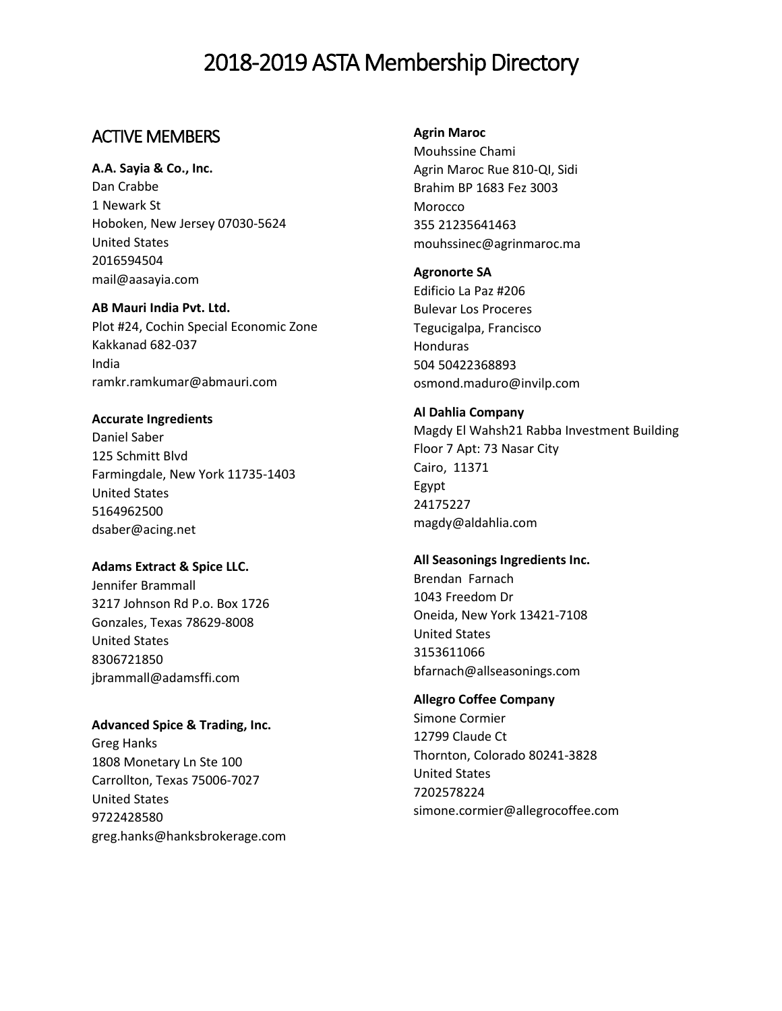## ACTIVE MEMBERS

## **A.A. Sayia & Co., Inc.**

Dan Crabbe 1 Newark St Hoboken, New Jersey 07030-5624 United States 2016594504 [mail@aasayia.com](mailto:mail@aasayia.com)

#### **AB Mauri India Pvt. Ltd.**

Plot #24, Cochin Special Economic Zone Kakkanad 682-037 India ramkr.ramkumar@abmauri.com

## **Accurate Ingredients**

Daniel Saber 125 Schmitt Blvd Farmingdale, New York 11735-1403 United States 5164962500 dsaber@acing.net

#### **Adams Extract & Spice LLC.**

Jennifer Brammall 3217 Johnson Rd P.o. Box 1726 Gonzales, Texas 78629-8008 United States 8306721850 jbrammall@adamsffi.com

## **Advanced Spice & Trading, Inc.**

Greg Hanks 1808 Monetary Ln Ste 100 Carrollton, Texas 75006-7027 United States 9722428580 greg.hanks@hanksbrokerage.com

### **Agrin Maroc**

Mouhssine Chami Agrin Maroc Rue 810-QI, Sidi Brahim BP 1683 Fez 3003 Morocco 355 21235641463 mouhssinec@agrinmaroc.ma

## **Agronorte SA**

Edificio La Paz #206 Bulevar Los Proceres Tegucigalpa, Francisco Honduras 504 50422368893 osmond.maduro@invilp.com

## **Al Dahlia Company**

Magdy El Wahsh21 Rabba Investment Building Floor 7 Apt: 73 Nasar City Cairo, 11371 Egypt 24175227 magdy@aldahlia.com

## **All Seasonings Ingredients Inc.**

Brendan Farnach 1043 Freedom Dr Oneida, New York 13421-7108 United States 3153611066 bfarnach@allseasonings.com

## **Allegro Coffee Company**

Simone Cormier 12799 Claude Ct Thornton, Colorado 80241-3828 United States 7202578224 simone.cormier@allegrocoffee.com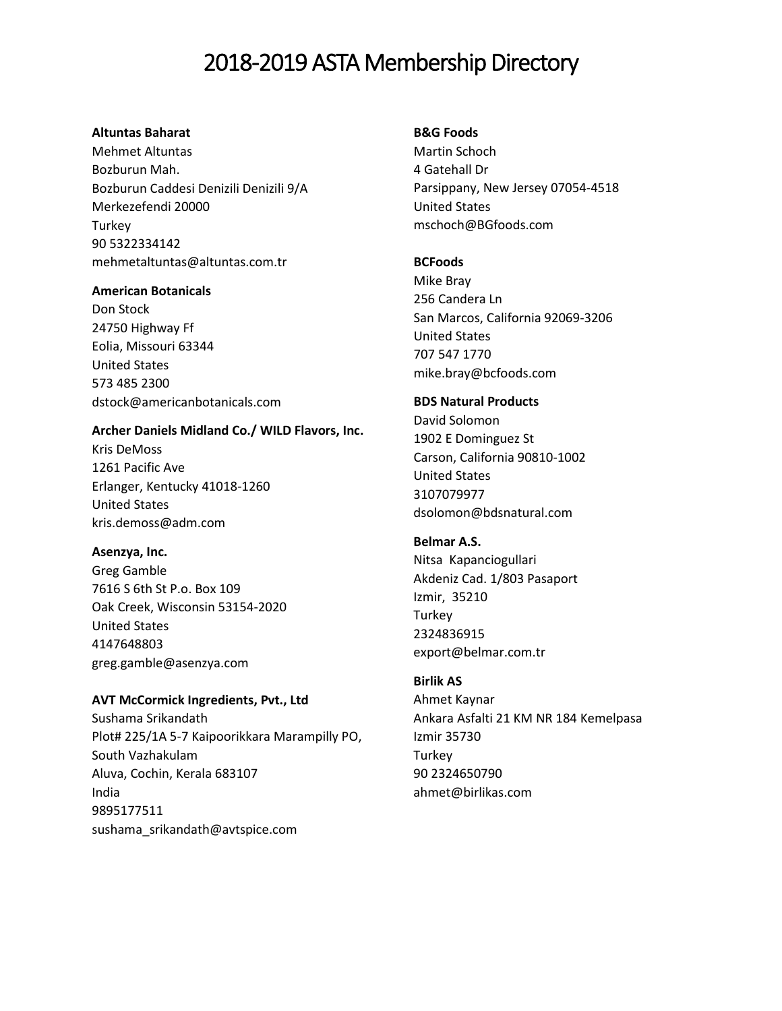## **Altuntas Baharat**

Mehmet Altuntas Bozburun Mah. Bozburun Caddesi Denizili Denizili 9/A Merkezefendi 20000 Turkey 90 5322334142 mehmetaltuntas@altuntas.com.tr

#### **American Botanicals**

Don Stock 24750 Highway Ff Eolia, Missouri 63344 United States 573 485 2300 dstock@americanbotanicals.com

## **Archer Daniels Midland Co./ WILD Flavors, Inc.**

Kris DeMoss 1261 Pacific Ave Erlanger, Kentucky 41018-1260 United States kris.demoss@adm.com

## **Asenzya, Inc.**

Greg Gamble 7616 S 6th St P.o. Box 109 Oak Creek, Wisconsin 53154-2020 United States 4147648803 greg.gamble@asenzya.com

## **AVT McCormick Ingredients, Pvt., Ltd**

Sushama Srikandath Plot# 225/1A 5-7 Kaipoorikkara Marampilly PO, South Vazhakulam Aluva, Cochin, Kerala 683107 India 9895177511 sushama\_srikandath@avtspice.com

## **B&G Foods**

Martin Schoch 4 Gatehall Dr Parsippany, New Jersey 07054-4518 United States mschoch@BGfoods.com

## **BCFoods**

Mike Bray [256 Candera Ln](javascript:void(0);) [San Marcos, California 92069-3206](javascript:void(0);) [United States](javascript:void(0);) 707 547 1770 mike.bray@bcfoods.com

#### **BDS Natural Products**

David Solomon 1902 E Dominguez St Carson, California 90810-1002 United States 3107079977 dsolomon@bdsnatural.com

## **Belmar A.S.**

Nitsa Kapanciogullari Akdeniz Cad. 1/803 Pasaport Izmir, 35210 Turkey 2324836915 export@belmar.com.tr

## **Birlik AS**

Ahmet Kaynar Ankara Asfalti 21 KM NR 184 Kemelpasa Izmir 35730 Turkey 90 2324650790 ahmet@birlikas.com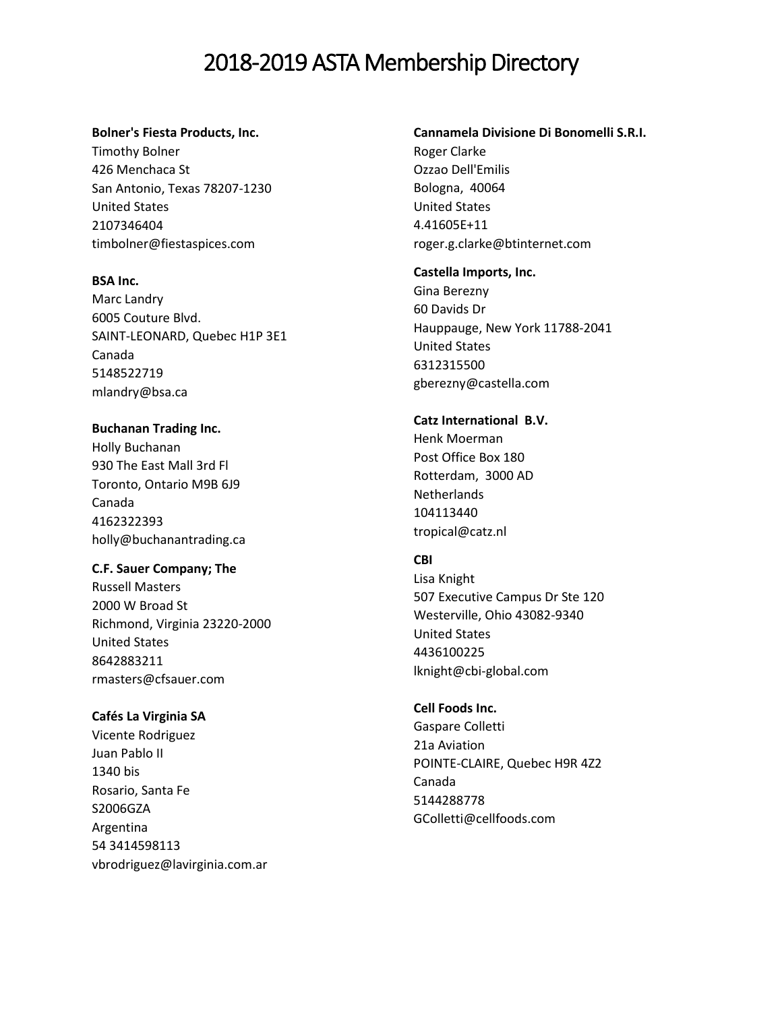#### **Bolner's Fiesta Products, Inc.**

Timothy Bolner 426 Menchaca St San Antonio, Texas 78207-1230 United States 2107346404 timbolner@fiestaspices.com

#### **BSA Inc.**

Marc Landry 6005 Couture Blvd. SAINT-LEONARD, Quebec H1P 3E1 Canada 5148522719 mlandry@bsa.ca

## **Buchanan Trading Inc.** Holly Buchanan 930 The East Mall 3rd Fl Toronto, Ontario M9B 6J9 Canada 4162322393 holly@buchanantrading.ca

**C.F. Sauer Company; The**

Russell Masters 2000 W Broad St Richmond, Virginia 23220-2000 United States 8642883211 rmasters@cfsauer.com

#### **Cafés La Virginia SA**

Vicente Rodriguez Juan Pablo II 1340 bis Rosario, Santa Fe S2006GZA Argentina 54 3414598113 vbrodriguez@lavirginia.com.ar

## **Cannamela Divisione Di Bonomelli S.R.I.**

Roger Clarke Ozzao Dell'Emilis Bologna, 40064 United States 4.41605E+11 roger.g.clarke@btinternet.com

#### **Castella Imports, Inc.**

Gina Berezny 60 Davids Dr Hauppauge, New York 11788-2041 United States 6312315500 gberezny@castella.com

## **Catz International B.V.**

Henk Moerman Post Office Box 180 Rotterdam, 3000 AD Netherlands 104113440 tropical@catz.nl

## **CBI**

Lisa Knight 507 Executive Campus Dr Ste 120 Westerville, Ohio 43082-9340 United States 4436100225 lknight@cbi-global.com

## **Cell Foods Inc.**

Gaspare Colletti 21a Aviation POINTE-CLAIRE, Quebec H9R 4Z2 Canada 5144288778 GColletti@cellfoods.com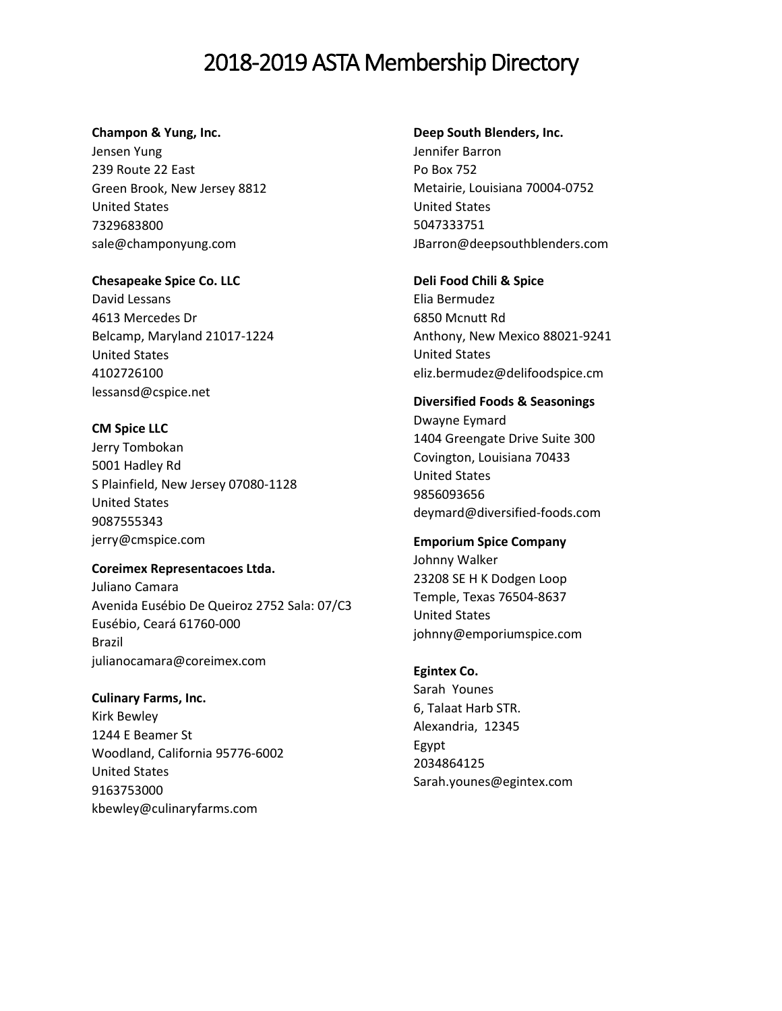#### **Champon & Yung, Inc.**

Jensen Yung 239 Route 22 East Green Brook, New Jersey 8812 United States 7329683800 sale@champonyung.com

## **Chesapeake Spice Co. LLC**

David Lessans 4613 Mercedes Dr Belcamp, Maryland 21017-1224 United States 4102726100 lessansd@cspice.net

## **CM Spice LLC**

Jerry Tombokan 5001 Hadley Rd S Plainfield, New Jersey 07080-1128 United States 9087555343 jerry@cmspice.com

## **Coreimex Representacoes Ltda.**

Juliano Camara Avenida Eusébio De Queiroz 2752 Sala: 07/C3 Eusébio, Ceará 61760-000 Brazil julianocamara@coreimex.com

**Culinary Farms, Inc.** Kirk Bewley 1244 E Beamer St Woodland, California 95776-6002 United States 9163753000 kbewley@culinaryfarms.com

## **Deep South Blenders, Inc.**

Jennifer Barron Po Box 752 Metairie, Louisiana 70004-0752 United States 5047333751 JBarron@deepsouthblenders.com

## **Deli Food Chili & Spice**

Elia Bermudez [6850 Mcnutt Rd](javascript:void(0);) [Anthony, New Mexico 88021-9241](javascript:void(0);) [United States](javascript:void(0);) eliz.bermudez@delifoodspice.cm

## **Diversified Foods & Seasonings**

Dwayne Eymard 1404 Greengate Drive Suite 300 Covington, Louisiana 70433 United States 9856093656 deymard@diversified-foods.com

## **Emporium Spice Company**

Johnny Walker [23208 SE H K Dodgen Loop](javascript:void(0);) [Temple, Texas 76504-8637](javascript:void(0);) [United States](javascript:void(0);) johnny@emporiumspice.com

## **Egintex Co.**

Sarah Younes 6, Talaat Harb STR. Alexandria, 12345 Egypt 2034864125 Sarah.younes@egintex.com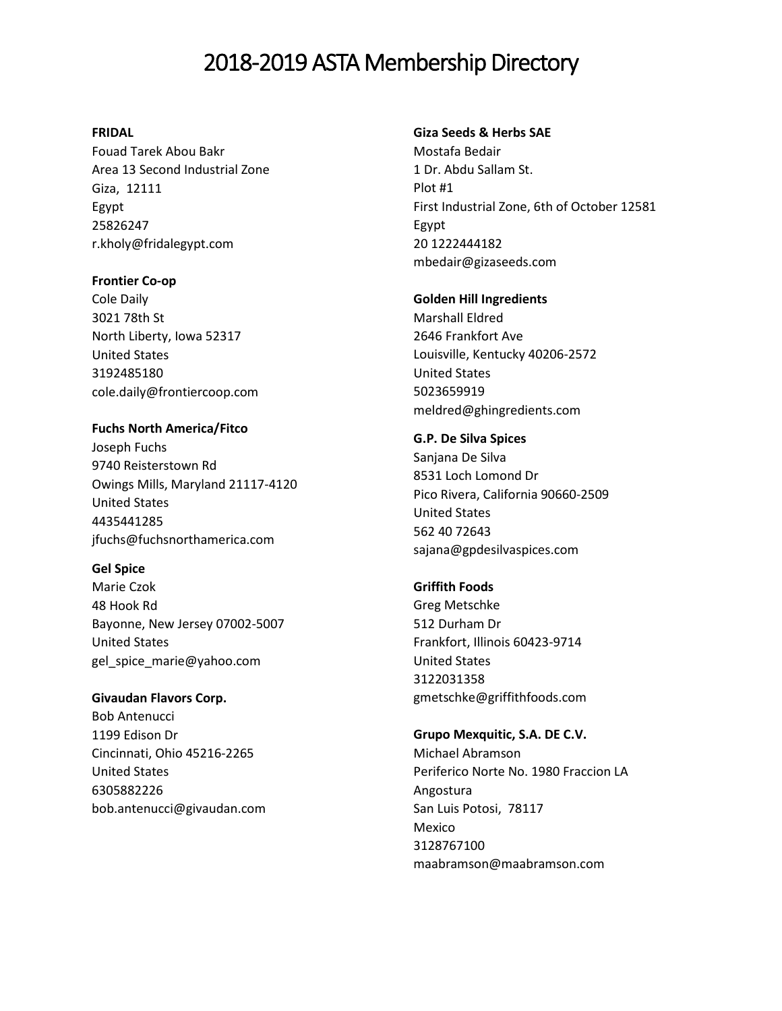## **FRIDAL**

Fouad Tarek Abou Bakr Area 13 Second Industrial Zone Giza, 12111 Egypt 25826247 r.kholy@fridalegypt.com

#### **Frontier Co-op**

Cole Daily 3021 78th St North Liberty, Iowa 52317 United States 3192485180 cole.daily@frontiercoop.com

**Fuchs North America/Fitco** Joseph Fuchs 9740 Reisterstown Rd Owings Mills, Maryland 21117-4120 United States 4435441285 jfuchs@fuchsnorthamerica.com

## **Gel Spice**

Marie Czok 48 Hook Rd Bayonne, New Jersey 07002-5007 United States gel\_spice\_marie@yahoo.com

**Givaudan Flavors Corp.**

Bob Antenucci 1199 Edison Dr Cincinnati, Ohio 45216-2265 United States 6305882226 bob.antenucci@givaudan.com

#### **Giza Seeds & Herbs SAE**

Mostafa Bedair [1 Dr. Abdu Sallam St.](javascript:void(0);) [Plot #1](javascript:void(0);) [First Industrial Zone, 6th of October 12581](javascript:void(0);) [Egypt](javascript:void(0);) 20 1222444182 mbedair@gizaseeds.com

## **Golden Hill Ingredients**

Marshall Eldred 2646 Frankfort Ave Louisville, Kentucky 40206-2572 United States 5023659919 meldred@ghingredients.com

## **G.P. De Silva Spices**

Sanjana De Silva [8531 Loch Lomond Dr](javascript:void(0);) [Pico Rivera, California 90660-2509](javascript:void(0);) [United States](javascript:void(0);) 562 40 72643 sajana@gpdesilvaspices.com

## **Griffith Foods**

Greg Metschke 512 Durham Dr Frankfort, Illinois 60423-9714 United States 3122031358 gmetschke@griffithfoods.com

### **Grupo Mexquitic, S.A. DE C.V.** Michael Abramson

Periferico Norte No. 1980 Fraccion LA Angostura San Luis Potosi, 78117 Mexico 3128767100 maabramson@maabramson.com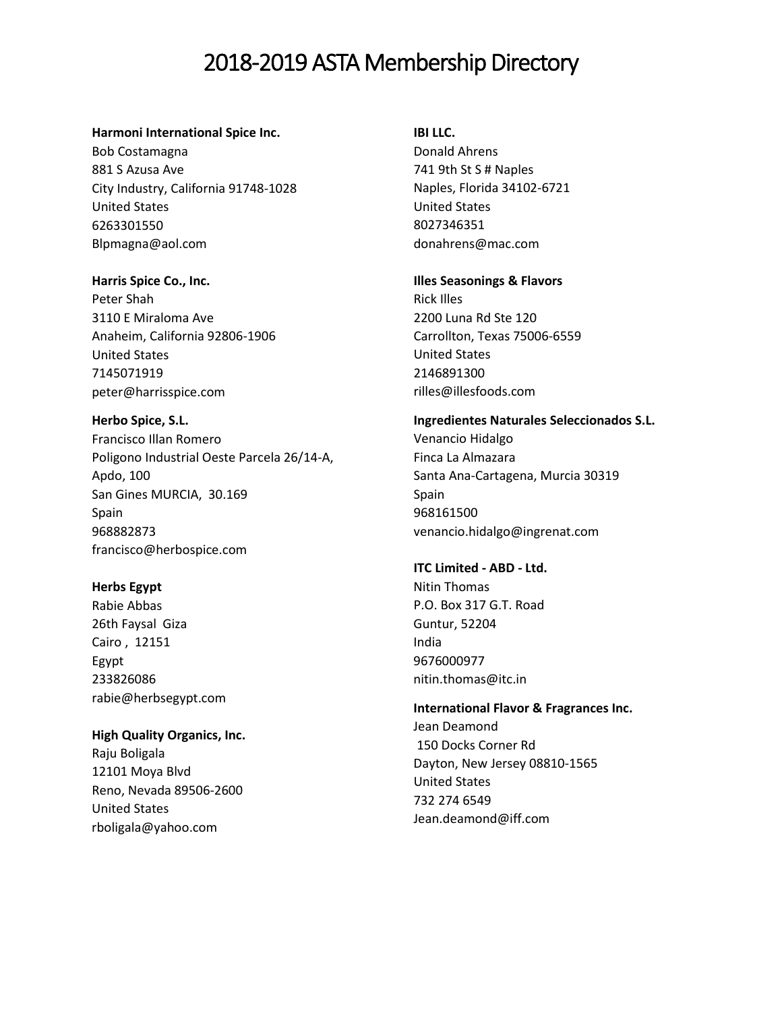#### **Harmoni International Spice Inc.**

Bob Costamagna 881 S Azusa Ave City Industry, California 91748-1028 United States 6263301550 Blpmagna@aol.com

**Harris Spice Co., Inc.**

Peter Shah 3110 E Miraloma Ave Anaheim, California 92806-1906 United States 7145071919 peter@harrisspice.com

**Herbo Spice, S.L.** Francisco Illan Romero Poligono Industrial Oeste Parcela 26/14-A, Apdo, 100 San Gines MURCIA, 30.169 Spain 968882873 francisco@herbospice.com

**Herbs Egypt**  Rabie Abbas

26th Faysal Giza Cairo , 12151 Egypt 233826086 rabie@herbsegypt.com

**High Quality Organics, Inc.** Raju Boligala 12101 Moya Blvd Reno, Nevada 89506-2600 United States rboligala@yahoo.com

**IBI LLC.**

Donald Ahrens 741 9th St S # Naples Naples, Florida 34102-6721 United States 8027346351 donahrens@mac.com

**Illes Seasonings & Flavors**

Rick Illes 2200 Luna Rd Ste 120 Carrollton, Texas 75006-6559 United States 2146891300 rilles@illesfoods.com

**Ingredientes Naturales Seleccionados S.L.** Venancio Hidalgo Finca La Almazara Santa Ana-Cartagena, Murcia 30319 Spain 968161500 venancio.hidalgo@ingrenat.com

**ITC Limited - ABD - Ltd.**  Nitin Thomas P.O. Box 317 G.T. Road Guntur, 52204 India

9676000977 nitin.thomas@itc.in

**International Flavor & Fragrances Inc.** Jean Deamond [150 Docks Corner Rd](javascript:void(0);) [Dayton, New Jersey 08810-1565](javascript:void(0);) [United States](javascript:void(0);) 732 274 6549 Jean.deamond@iff.com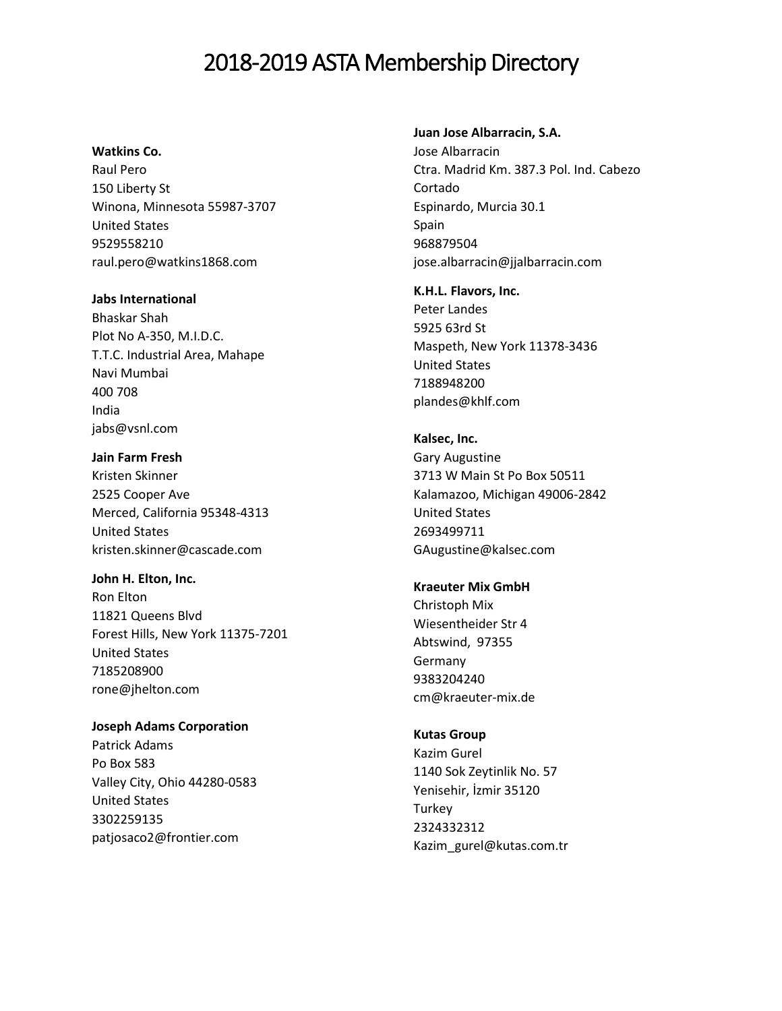#### **Watkins Co.**

Raul Pero 150 Liberty St Winona, Minnesota 55987-3707 United States 9529558210 raul.pero@watkins1868.com

#### **Jabs International**

Bhaskar Shah Plot No A-350, M.I.D.C. T.T.C. Industrial Area, Mahape Navi Mumbai 400 708 India jabs@vsnl.com

**Jain Farm Fresh**  Kristen Skinner 2525 Cooper Ave Merced, California 95348-4313 United States kristen.skinner@cascade.com

**John H. Elton, Inc.**

Ron Elton 11821 Queens Blvd Forest Hills, New York 11375-7201 United States 7185208900 rone@jhelton.com

**Joseph Adams Corporation**

Patrick Adams Po Box 583 Valley City, Ohio 44280-0583 United States 3302259135 patjosaco2@frontier.com

### **Juan Jose Albarracin, S.A.**

Jose Albarracin Ctra. Madrid Km. 387.3 Pol. Ind. Cabezo Cortado Espinardo, Murcia 30.1 Spain 968879504 jose.albarracin@jjalbarracin.com

**K.H.L. Flavors, Inc.** Peter Landes 5925 63rd St Maspeth, New York 11378-3436 United States 7188948200 plandes@khlf.com

**Kalsec, Inc.** Gary Augustine 3713 W Main St Po Box 50511 Kalamazoo, Michigan 49006-2842 United States 2693499711 GAugustine@kalsec.com

#### **Kraeuter Mix GmbH**

Christoph Mix Wiesentheider Str 4 Abtswind, 97355 Germany 9383204240 cm@kraeuter-mix.de

#### **Kutas Group**

Kazim Gurel 1140 Sok Zeytinlik No. 57 Yenisehir, İzmir 35120 **Turkey** 2324332312 Kazim\_gurel@kutas.com.tr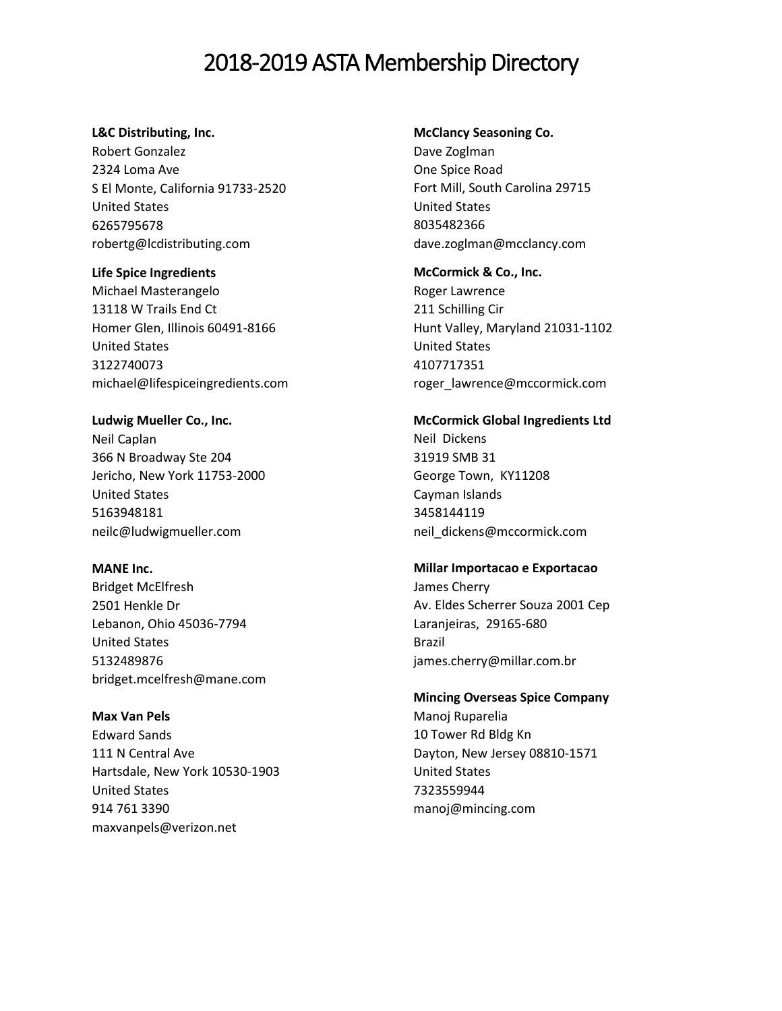### **L&C Distributing, Inc.**

Robert Gonzalez 2324 Loma Ave S El Monte, California 91733-2520 United States 6265795678 robertg@lcdistributing.com

**Life Spice Ingredients**  Michael Masterangelo 13118 W Trails End Ct Homer Glen, Illinois 60491-8166 United States 3122740073 michael@lifespiceingredients.com

**Ludwig Mueller Co., Inc.** Neil Caplan 366 N Broadway Ste 204 Jericho, New York 11753-2000 United States 5163948181 neilc@ludwigmueller.com

**MANE Inc.**

Bridget McElfresh 2501 Henkle Dr Lebanon, Ohio 45036-7794 United States 5132489876 bridget.mcelfresh@mane.com

**Max Van Pels**  Edward Sands [111 N Central Ave](javascript:void(0);) [Hartsdale, New York 10530-1903](javascript:void(0);) [United States](javascript:void(0);) 914 761 3390 [maxvanpels@verizon.net](mailto:maxvanpels@verizon.net)

#### **McClancy Seasoning Co.**

Dave Zoglman One Spice Road Fort Mill, South Carolina 29715 United States 8035482366 dave.zoglman@mcclancy.com

**McCormick & Co., Inc.** Roger Lawrence 211 Schilling Cir Hunt Valley, Maryland 21031-1102 United States 4107717351 roger\_lawrence@mccormick.com

## **McCormick Global Ingredients Ltd**

Neil Dickens 31919 SMB 31 George Town, KY11208 Cayman Islands 3458144119 neil\_dickens@mccormick.com

## **Millar Importacao e Exportacao**

James Cherry Av. Eldes Scherrer Souza 2001 Cep Laranjeiras, 29165-680 Brazil james.cherry@millar.com.br

## **Mincing Overseas Spice Company**

Manoj Ruparelia 10 Tower Rd Bldg Kn Dayton, New Jersey 08810-1571 United States 7323559944 [manoj@mincing.com](mailto:manoj@mincing.com)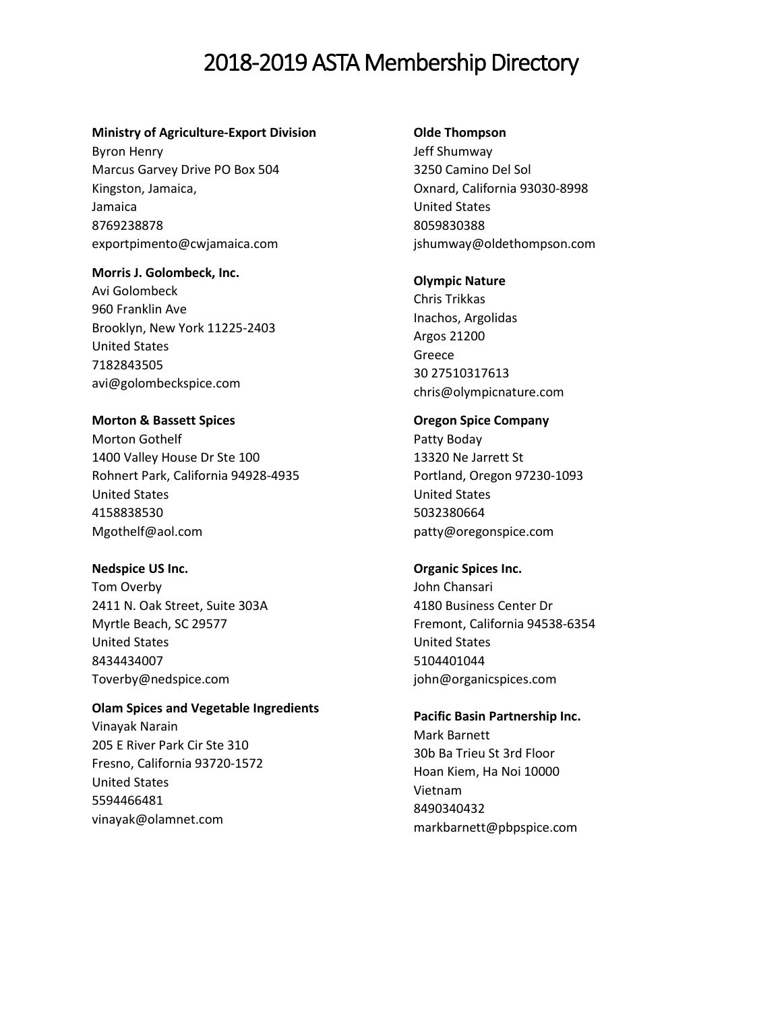#### **Ministry of Agriculture-Export Division**

Byron Henry Marcus Garvey Drive PO Box 504 Kingston, Jamaica, Jamaica 8769238878 exportpimento@cwjamaica.com

#### **Morris J. Golombeck, Inc.**

Avi Golombeck 960 Franklin Ave Brooklyn, New York 11225-2403 United States 7182843505 [avi@golombeckspice.com](mailto:avi@golombeckspice.com)

## **Morton & Bassett Spices**

Morton Gothelf 1400 Valley House Dr Ste 100 Rohnert Park, California 94928-4935 United States 4158838530 [Mgothelf@aol.com](mailto:Mgothelf@aol.com)

## **Nedspice US Inc.**

Tom Overby 2411 N. Oak Street, Suite 303A Myrtle Beach, SC 29577 United States 8434434007 [Toverby@nedspice.com](mailto:Toverby@nedspice.com)

## **Olam Spices and Vegetable Ingredients**

Vinayak Narain 205 E River Park Cir Ste 310 Fresno, California 93720-1572 United States 5594466481 vinayak@olamnet.com

#### **Olde Thompson**

Jeff Shumway 3250 Camino Del Sol Oxnard, California 93030-8998 United States 8059830388 jshumway@oldethompson.com

#### **Olympic Nature**

Chris Trikkas Inachos, Argolidas Argos 21200 Greece 30 27510317613 chris@olympicnature.com

## **Oregon Spice Company**

Patty Boday 13320 Ne Jarrett St Portland, Oregon 97230-1093 United States 5032380664 patty@oregonspice.com

### **Organic Spices Inc.**

John Chansari 4180 Business Center Dr Fremont, California 94538-6354 United States 5104401044 john@organicspices.com

## **Pacific Basin Partnership Inc.**

Mark Barnett 30b Ba Trieu St 3rd Floor Hoan Kiem, Ha Noi 10000 Vietnam 8490340432 markbarnett@pbpspice.com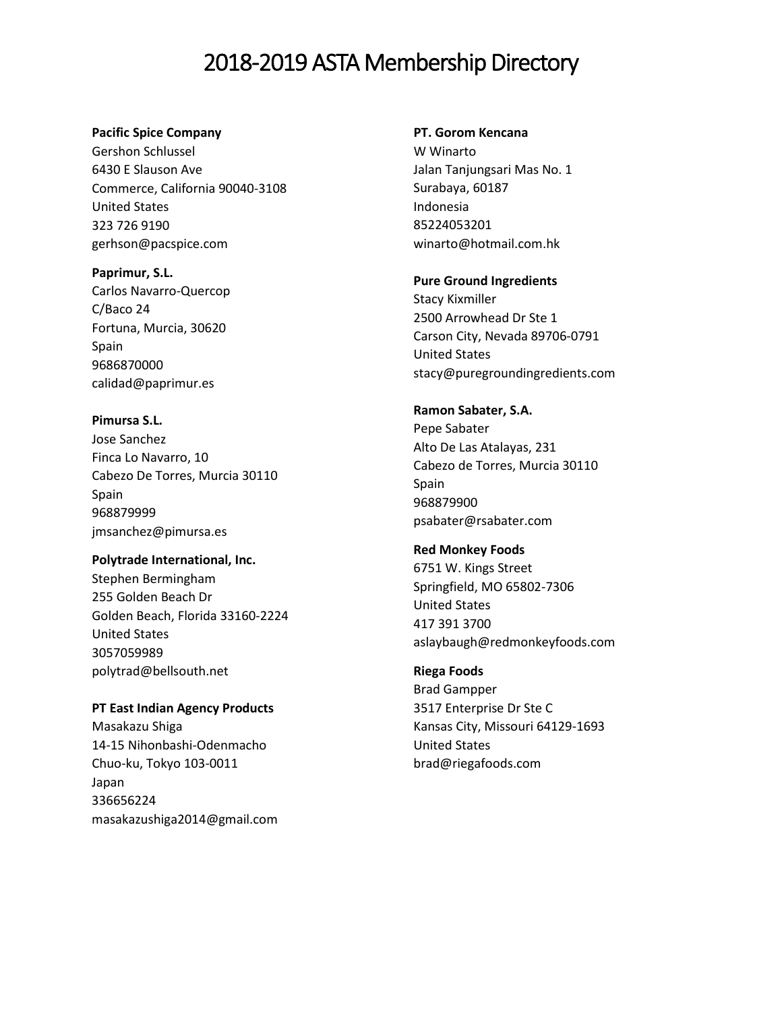#### **Pacific Spice Company**

Gershon Schlussel [6430 E Slauson Ave](javascript:void(0);) [Commerce, California 90040-3108](javascript:void(0);) [United States](javascript:void(0);) 323 726 9190 gerhson@pacspice.com

**Paprimur, S.L.**  Carlos Navarro-Quercop C/Baco 24 Fortuna, Murcia, 30620 Spain 9686870000 calidad@paprimur.es

**Pimursa S.L.** Jose Sanchez Finca Lo Navarro, 10 Cabezo De Torres, Murcia 30110 Spain 968879999 [jmsanchez@pimursa.es](mailto:jmsanchez@pimursa.es)

**Polytrade International, Inc.** Stephen Bermingham 255 Golden Beach Dr Golden Beach, Florida 33160-2224 United States 3057059989 [polytrad@bellsouth.net](mailto:polytrad@bellsouth.net)

**PT East Indian Agency Products** Masakazu Shiga 14-15 Nihonbashi-Odenmacho Chuo-ku, Tokyo 103-0011 Japan 336656224 masakazushiga2014@gmail.com

#### **PT. Gorom Kencana**

W Winarto Jalan Tanjungsari Mas No. 1 Surabaya, 60187 Indonesia 85224053201 winarto@hotmail.com.hk

#### **Pure Ground Ingredients**

Stacy Kixmiller 2500 Arrowhead Dr Ste 1 Carson City, Nevada 89706-0791 United States stacy@puregroundingredients.com

## **Ramon Sabater, S.A.**

Pepe Sabater Alto De Las Atalayas, 231 Cabezo de Torres, Murcia 30110 Spain 968879900 psabater@rsabater.com

## **Red Monkey Foods**

6751 W. Kings Street Springfield, MO 65802-7306 United States 417 391 3700 aslaybaugh@redmonkeyfoods.com

## **Riega Foods**

Brad Gampper 3517 Enterprise Dr Ste C Kansas City, Missouri 64129-1693 United States brad@riegafoods.com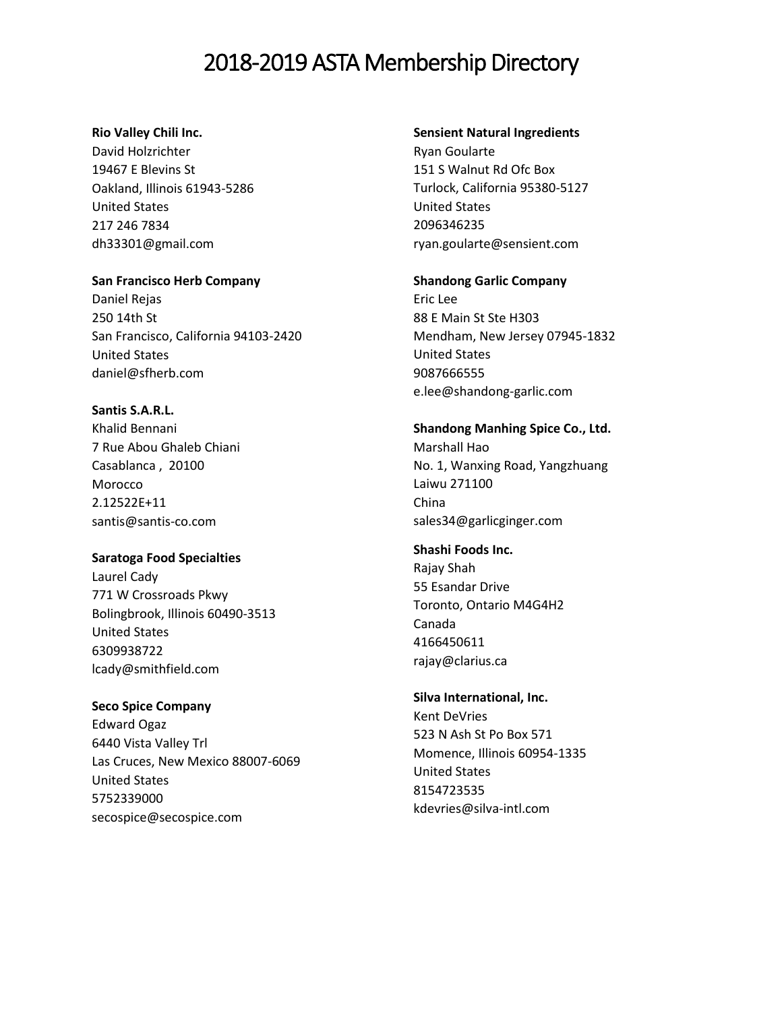## **Rio Valley Chili Inc.**

David Holzrichter [19467 E Blevins St](javascript:void(0);) [Oakland, Illinois 61943-5286](javascript:void(0);) [United States](javascript:void(0);) 217 246 7834 dh33301@gmail.com

#### **San Francisco Herb Company**

Daniel Rejas 250 14th St San Francisco, California 94103-2420 United States daniel@sfherb.com

## **Santis S.A.R.L.**

Khalid Bennani 7 Rue Abou Ghaleb Chiani Casablanca , 20100 Morocco 2.12522E+11 santis@santis-co.com

## **Saratoga Food Specialties**

Laurel Cady 771 W Crossroads Pkwy Bolingbrook, Illinois 60490-3513 United States 6309938722 lcady@smithfield.com

## **Seco Spice Company**

Edward Ogaz 6440 Vista Valley Trl Las Cruces, New Mexico 88007-6069 United States 5752339000 secospice@secospice.com

#### **Sensient Natural Ingredients**

Ryan Goularte 151 S Walnut Rd Ofc Box Turlock, California 95380-5127 United States 2096346235 ryan.goularte@sensient.com

## **Shandong Garlic Company**

Eric Lee 88 E Main St Ste H303 Mendham, New Jersey 07945-1832 United States 9087666555 e.lee@shandong-garlic.com

## **Shandong Manhing Spice Co., Ltd.**  Marshall Hao

No. 1, Wanxing Road, Yangzhuang Laiwu 271100 China sales34@garlicginger.com

## **Shashi Foods Inc.**

Rajay Shah 55 Esandar Drive Toronto, Ontario M4G4H2 Canada 4166450611 rajay@clarius.ca

## **Silva International, Inc.**

Kent DeVries 523 N Ash St Po Box 571 Momence, Illinois 60954-1335 United States 8154723535 kdevries@silva-intl.com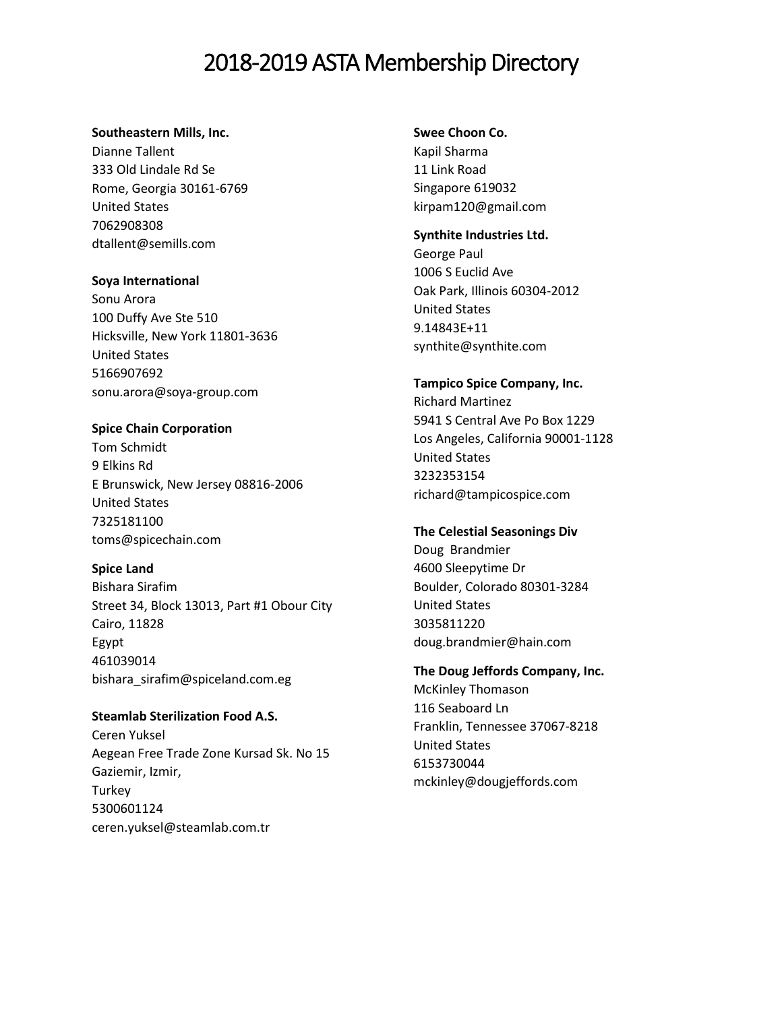#### **Southeastern Mills, Inc.**

Dianne Tallent 333 Old Lindale Rd Se Rome, Georgia 30161-6769 United States 7062908308 dtallent@semills.com

## **Soya International**

Sonu Arora 100 Duffy Ave Ste 510 Hicksville, New York 11801-3636 United States 5166907692 sonu.arora@soya-group.com

## **Spice Chain Corporation**

Tom Schmidt 9 Elkins Rd E Brunswick, New Jersey 08816-2006 United States 7325181100 toms@spicechain.com

## **Spice Land**

Bishara Sirafim Street 34, Block 13013, Part #1 Obour City Cairo, 11828 Egypt 461039014 bishara\_sirafim@spiceland.com.eg

**Steamlab Sterilization Food A.S.**  Ceren Yuksel Aegean Free Trade Zone Kursad Sk. No 15 Gaziemir, Izmir, **Turkey** 5300601124 ceren.yuksel@steamlab.com.tr

**Swee Choon Co.**  Kapil Sharma

[11 Link Road](javascript:void(0);) [Singapore](javascript:void(0);) 619032 kirpam120@gmail.com

## **Synthite Industries Ltd.**

George Paul 1006 S Euclid Ave Oak Park, Illinois 60304-2012 United States 9.14843E+11 synthite@synthite.com

## **Tampico Spice Company, Inc.** Richard Martinez 5941 S Central Ave Po Box 1229 Los Angeles, California 90001-1128 United States 3232353154 richard@tampicospice.com

## **The Celestial Seasonings Div**

Doug Brandmier 4600 Sleepytime Dr Boulder, Colorado 80301-3284 United States 3035811220 doug.brandmier@hain.com

**The Doug Jeffords Company, Inc.**  McKinley Thomason 116 Seaboard Ln Franklin, Tennessee 37067-8218 United States 6153730044 mckinley@dougjeffords.com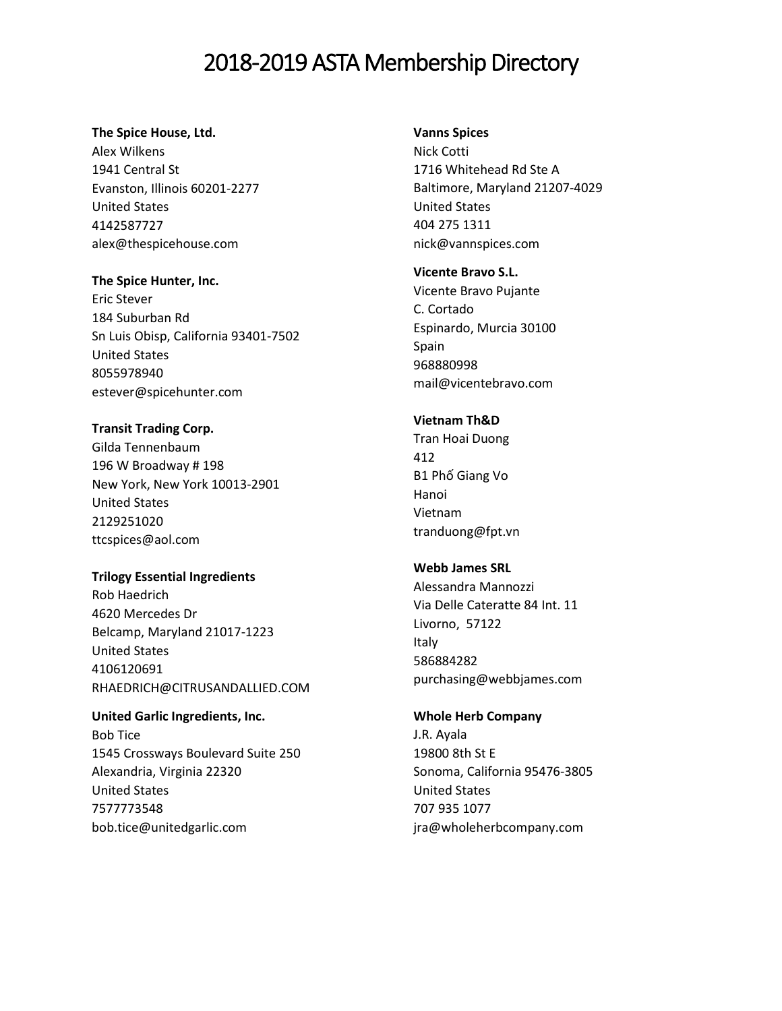#### **The Spice House, Ltd.**

Alex Wilkens 1941 Central St Evanston, Illinois 60201-2277 United States 4142587727 alex@thespicehouse.com

#### **The Spice Hunter, Inc.**

Eric Stever 184 Suburban Rd Sn Luis Obisp, California 93401-7502 United States 8055978940 estever@spicehunter.com

## **Transit Trading Corp.**

Gilda Tennenbaum 196 W Broadway # 198 New York, New York 10013-2901 United States 2129251020 ttcspices@aol.com

## **Trilogy Essential Ingredients**

Rob Haedrich 4620 Mercedes Dr Belcamp, Maryland 21017-1223 United States 4106120691 RHAEDRICH@CITRUSANDALLIED.COM

## **United Garlic Ingredients, Inc.**  Bob Tice 1545 Crossways Boulevard Suite 250 Alexandria, Virginia 22320 United States 7577773548

bob.tice@unitedgarlic.com

## **Vanns Spices**

Nick Cotti [1716 Whitehead Rd Ste A](javascript:void(0);) [Baltimore, Maryland 21207-4029](javascript:void(0);) [United States](javascript:void(0);) 404 275 1311 nick@vannspices.com

## **Vicente Bravo S.L.**

Vicente Bravo Pujante C. Cortado Espinardo, Murcia 30100 Spain 968880998 mail@vicentebravo.com

## **Vietnam Th&D**

Tran Hoai Duong [412](javascript:void(0);) B1 Phố [Giang Vo](javascript:void(0);) [Hanoi](javascript:void(0);) [Vietnam](javascript:void(0);) tranduong@fpt.vn

## **Webb James SRL**

Alessandra Mannozzi Via Delle Cateratte 84 Int. 11 Livorno, 57122 Italy 586884282 purchasing@webbjames.com

## **Whole Herb Company**

J.R. Ayala [19800 8th St E](javascript:void(0);) [Sonoma, California 95476-3805](javascript:void(0);) [United States](javascript:void(0);) 707 935 1077 jra@wholeherbcompany.com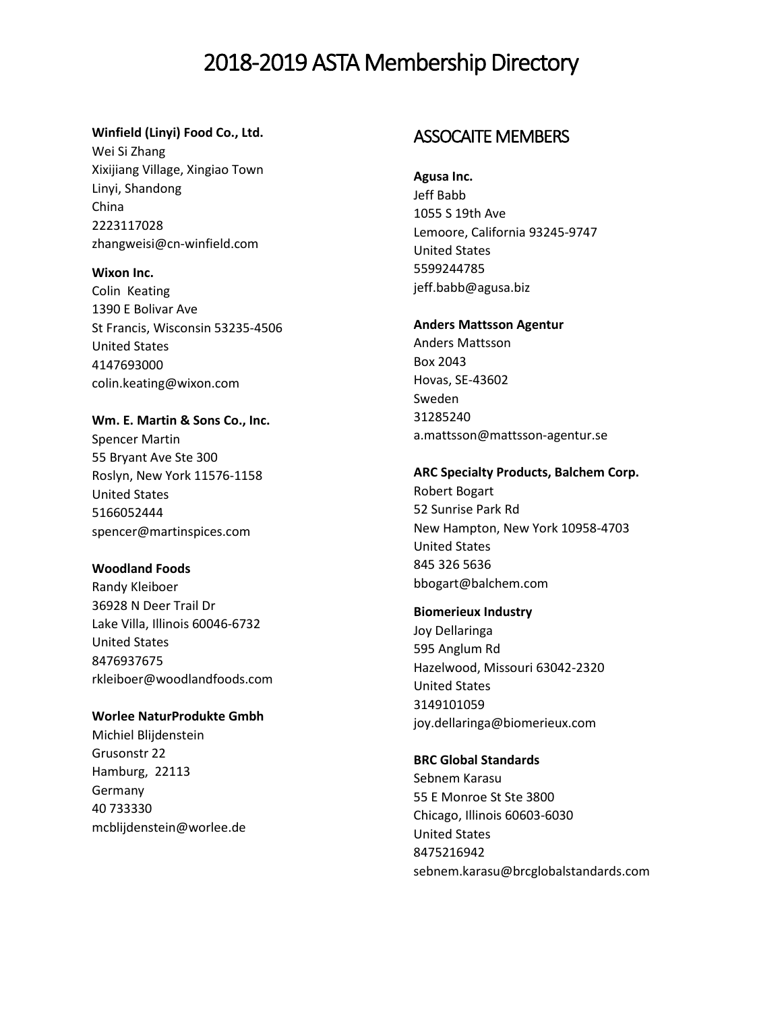### **Winfield (Linyi) Food Co., Ltd.**

Wei Si Zhang Xixijiang Village, Xingiao Town Linyi, Shandong China 2223117028 zhangweisi@cn-winfield.com

#### **Wixon Inc.**

Colin Keating 1390 E Bolivar Ave St Francis, Wisconsin 53235-4506 United States 4147693000 colin.keating@wixon.com

**Wm. E. Martin & Sons Co., Inc.** Spencer Martin 55 Bryant Ave Ste 300 Roslyn, New York 11576-1158 United States 5166052444 spencer@martinspices.com

## **Woodland Foods**

Randy Kleiboer 36928 N Deer Trail Dr Lake Villa, Illinois 60046-6732 United States 8476937675 rkleiboer@woodlandfoods.com

## **Worlee NaturProdukte Gmbh**

Michiel Blijdenstein Grusonstr 22 Hamburg, 22113 Germany 40 733330 [mcblijdenstein@worlee.de](mailto:mcblijdenstein@worlee.de)

## ASSOCAITE MEMBERS

**Agusa Inc.**  Jeff Babb

1055 S 19th Ave Lemoore, California 93245-9747 United States 5599244785 jeff.babb@agusa.biz

#### **Anders Mattsson Agentur**

Anders Mattsson Box 2043 Hovas, SE-43602 Sweden 31285240 a.mattsson@mattsson-agentur.se

#### **ARC Specialty Products, Balchem Corp.**

Robert Bogart [52 Sunrise Park Rd](javascript:void(0);) [New Hampton, New York 10958-4703](javascript:void(0);) [United States](javascript:void(0);) 845 326 5636 bbogart@balchem.com

## **Biomerieux Industry**

Joy Dellaringa 595 Anglum Rd Hazelwood, Missouri 63042-2320 United States 3149101059 joy.dellaringa@biomerieux.com

#### **BRC Global Standards**

Sebnem Karasu 55 E Monroe St Ste 3800 Chicago, Illinois 60603-6030 United States 8475216942 sebnem.karasu@brcglobalstandards.com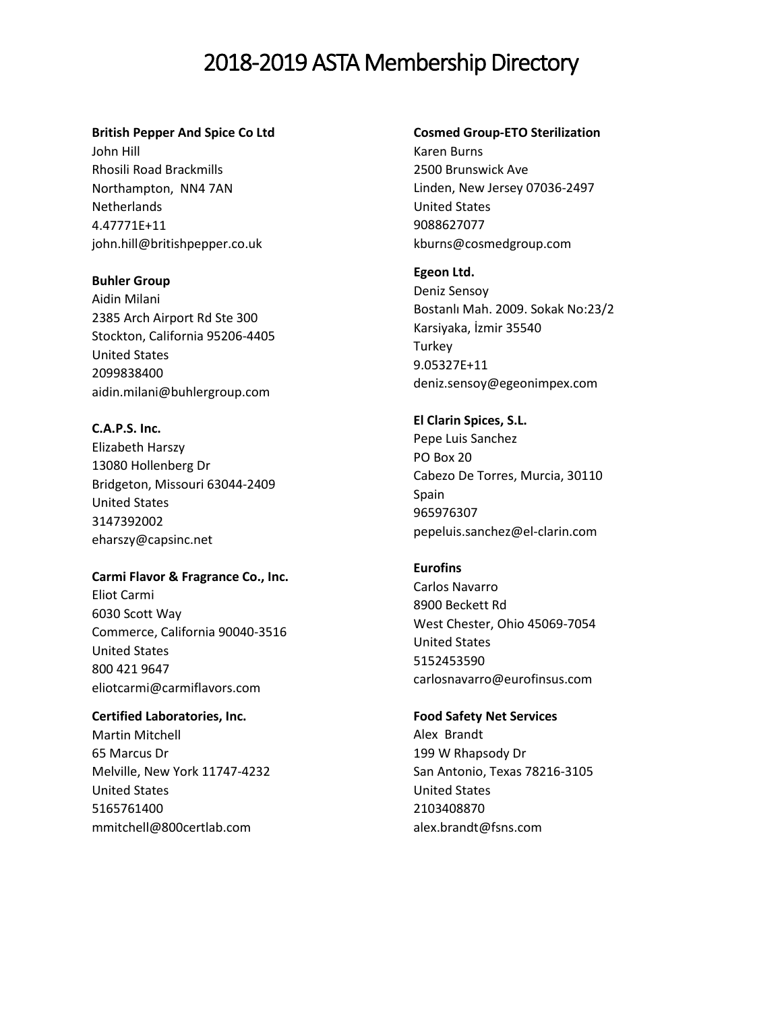#### **British Pepper And Spice Co Ltd**

John Hill Rhosili Road Brackmills Northampton, NN4 7AN **Netherlands** 4.47771E+11 john.hill@britishpepper.co.uk

#### **Buhler Group**

Aidin Milani 2385 Arch Airport Rd Ste 300 Stockton, California 95206-4405 United States 2099838400 aidin.milani@buhlergroup.com

## **C.A.P.S. Inc.**

Elizabeth Harszy 13080 Hollenberg Dr Bridgeton, Missouri 63044-2409 United States 3147392002 eharszy@capsinc.net

#### **Carmi Flavor & Fragrance Co., Inc.**

Eliot Carmi [6030 Scott Way](javascript:void(0);) [Commerce, California 90040-3516](javascript:void(0);) [United States](javascript:void(0);) 800 421 9647 eliotcarmi@carmiflavors.com

## **Certified Laboratories, Inc.**

Martin Mitchell 65 Marcus Dr Melville, New York 11747-4232 United States 5165761400 mmitchell@800certlab.com

#### **Cosmed Group-ETO Sterilization**

Karen Burns 2500 Brunswick Ave Linden, New Jersey 07036-2497 United States 9088627077 kburns@cosmedgroup.com

#### **Egeon Ltd.**

Deniz Sensoy Bostanlı Mah. 2009. Sokak No:23/2 Karsiyaka, İzmir 35540 **Turkey** 9.05327E+11 deniz.sensoy@egeonimpex.com

## **El Clarin Spices, S.L.**

Pepe Luis Sanchez PO Box 20 Cabezo De Torres, Murcia, 30110 Spain 965976307 pepeluis.sanchez@el-clarin.com

## **Eurofins**

Carlos Navarro 8900 Beckett Rd West Chester, Ohio 45069-7054 United States 5152453590 carlosnavarro@eurofinsus.com

#### **Food Safety Net Services**

Alex Brandt 199 W Rhapsody Dr San Antonio, Texas 78216-3105 United States 2103408870 alex.brandt@fsns.com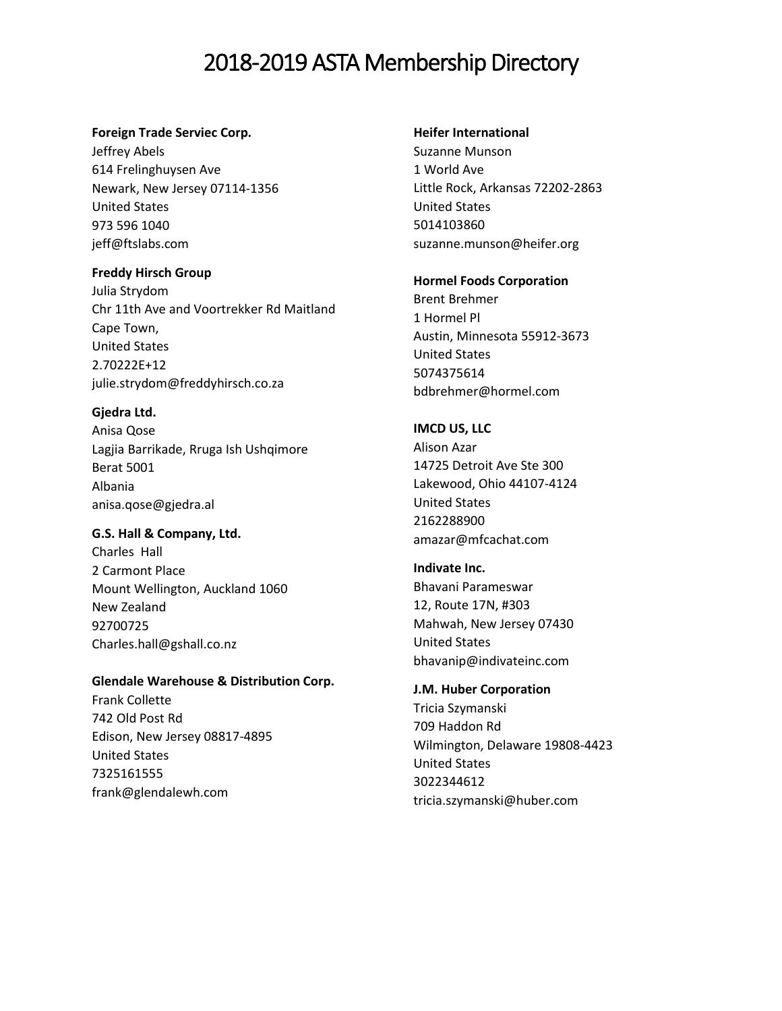#### **Foreign Trade Serviec Corp.**

Jeffrey Abels [614 Frelinghuysen Ave](javascript:void(0);) [Newark, New Jersey 07114-1356](javascript:void(0);) [United States](javascript:void(0);) 973 596 1040 jeff@ftslabs.com

## **Freddy Hirsch Group**

Julia Strydom Chr 11th Ave and Voortrekker Rd Maitland Cape Town, United States 2.70222E+12 julie.strydom@freddyhirsch.co.za

## **Gjedra Ltd.**

Anisa Qose Lagjia Barrikade, Rruga Ish Ushqimore Berat 5001 Albania anisa.qose@gjedra.al

## **G.S. Hall & Company, Ltd.**

Charles Hall 2 Carmont Place Mount Wellington, Auckland 1060 New Zealand 92700725 Charles.hall@gshall.co.nz

## **Glendale Warehouse & Distribution Corp.**

Frank Collette 742 Old Post Rd Edison, New Jersey 08817-4895 United States 7325161555 frank@glendalewh.com

#### **Heifer International**

Suzanne Munson 1 World Ave Little Rock, Arkansas 72202-2863 United States 5014103860 suzanne.munson@heifer.org

## **Hormel Foods Corporation**

Brent Brehmer 1 Hormel Pl Austin, Minnesota 55912-3673 United States 5074375614 bdbrehmer@hormel.com

## **IMCD US, LLC**

Alison Azar 14725 Detroit Ave Ste 300 Lakewood, Ohio 44107-4124 United States 2162288900 amazar@mfcachat.com

## **Indivate Inc.**  Bhavani Parameswar [12, Route 17N, #303](javascript:void(0);) [Mahwah, New Jersey 07430](javascript:void(0);) [United States](javascript:void(0);) bhavanip@indivateinc.com

## **J.M. Huber Corporation**

Tricia Szymanski 709 Haddon Rd Wilmington, Delaware 19808-4423 United States 3022344612 tricia.szymanski@huber.com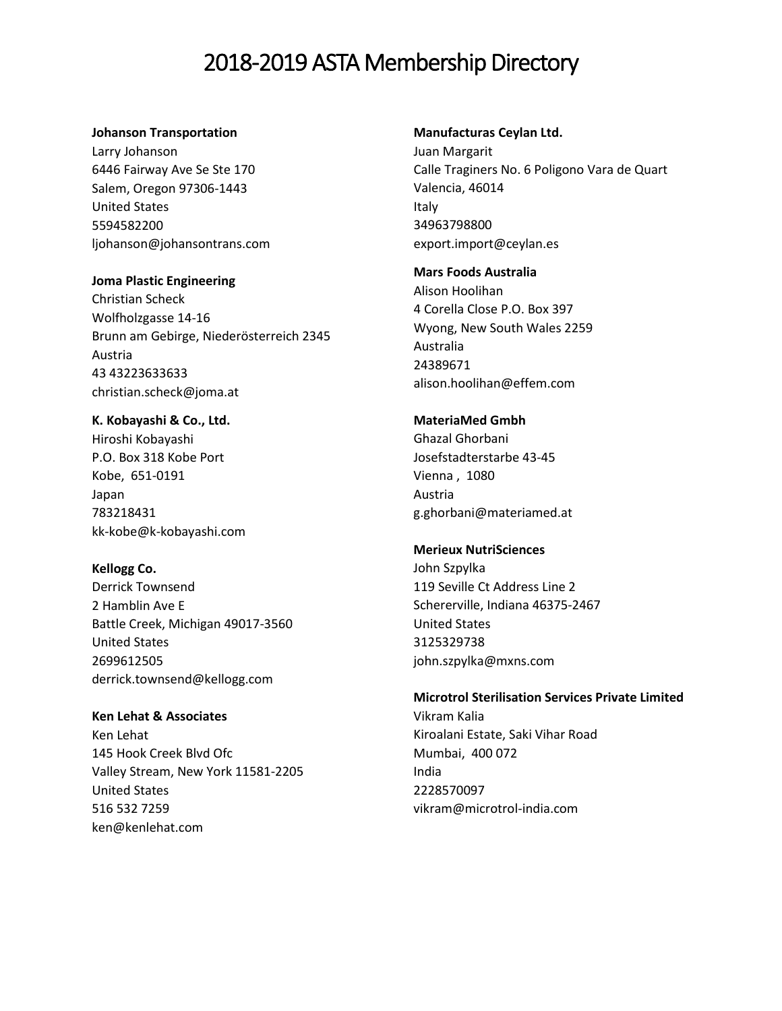#### **Johanson Transportation**

Larry Johanson 6446 Fairway Ave Se Ste 170 Salem, Oregon 97306-1443 United States 5594582200 ljohanson@johansontrans.com

#### **Joma Plastic Engineering**

Christian Scheck [Wolfholzgasse 14-16](javascript:void(0);) [Brunn am Gebirge, Niederösterreich 2345](javascript:void(0);) [Austria](javascript:void(0);) 43 43223633633 christian.scheck@joma.at

**K. Kobayashi & Co., Ltd.** Hiroshi Kobayashi P.O. Box 318 Kobe Port Kobe, 651-0191 Japan 783218431 kk-kobe@k-kobayashi.com

**Kellogg Co.**

Derrick Townsend 2 Hamblin Ave E Battle Creek, Michigan 49017-3560 United States 2699612505 derrick.townsend@kellogg.com

**Ken Lehat & Associates**  Ken Lehat [145 Hook Creek Blvd Ofc](javascript:void(0);) [Valley Stream, New York 11581-2205](javascript:void(0);) [United States](javascript:void(0);) 516 532 7259 ken@kenlehat.com

#### **Manufacturas Ceylan Ltd.**

Juan Margarit Calle Traginers No. 6 Poligono Vara de Quart Valencia, 46014 Italy 34963798800 export.import@ceylan.es

#### **Mars Foods Australia**

Alison Hoolihan 4 Corella Close P.O. Box 397 Wyong, New South Wales 2259 Australia 24389671 alison.hoolihan@effem.com

## **MateriaMed Gmbh**

Ghazal Ghorbani Josefstadterstarbe 43-45 Vienna , 1080 Austria g.ghorbani@materiamed.at

#### **Merieux NutriSciences**

John Szpylka 119 Seville Ct Address Line 2 Schererville, Indiana 46375-2467 United States 3125329738 john.szpylka@mxns.com

#### **Microtrol Sterilisation Services Private Limited**

Vikram Kalia Kiroalani Estate, Saki Vihar Road Mumbai, 400 072 India 2228570097 vikram@microtrol-india.com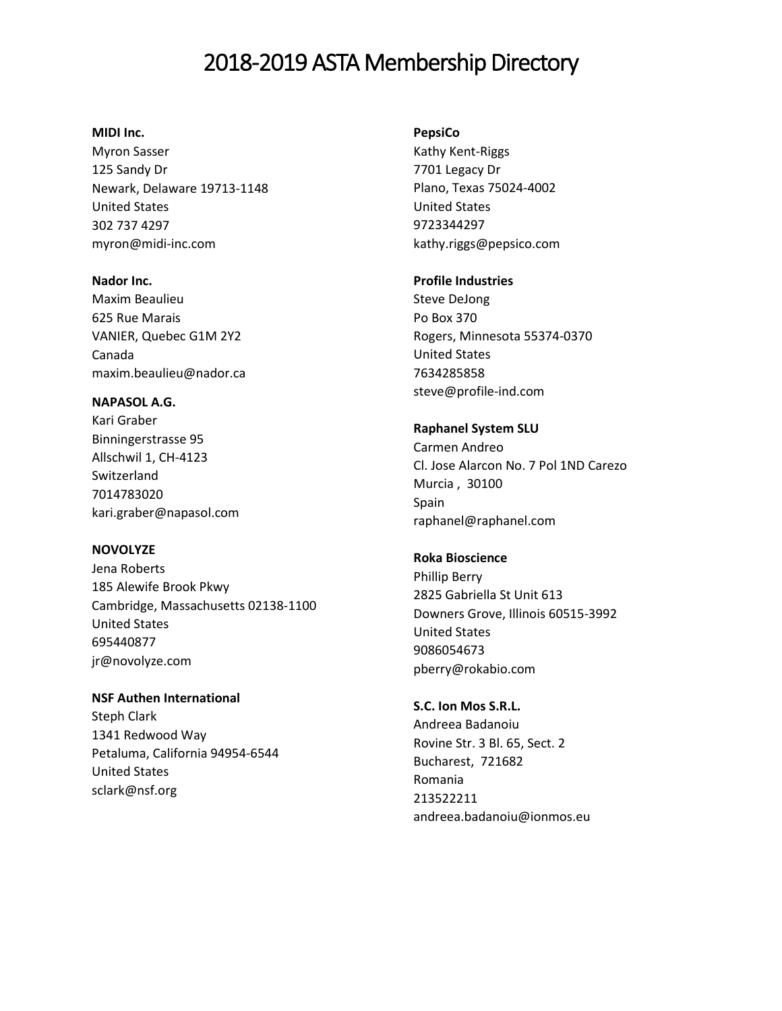## **MIDI Inc.**

Myron Sasser [125 Sandy Dr](javascript:void(0);) [Newark, Delaware 19713-1148](javascript:void(0);) [United States](javascript:void(0);) 302 737 4297 myron@midi-inc.com

**Nador Inc.**  Maxim Beaulieu

625 Rue Marais VANIER, Quebec G1M 2Y2 Canada maxim.beaulieu@nador.ca

## **NAPASOL A.G.**

Kari Graber Binningerstrasse 95 Allschwil 1, CH-4123 Switzerland 7014783020 kari.graber@napasol.com

## **NOVOLYZE**

Jena Roberts 185 Alewife Brook Pkwy Cambridge, Massachusetts 02138-1100 United States 695440877 jr@novolyze.com

**NSF Authen International**  Steph Clark [1341 Redwood Way](javascript:void(0);) Petaluma, [California 94954-6544](javascript:void(0);) [United States](javascript:void(0);)

[sclark@nsf.org](mailto:sclark@nsf.org)

#### **PepsiCo**

Kathy Kent-Riggs 7701 Legacy Dr Plano, Texas 75024-4002 United States 9723344297 kathy.riggs@pepsico.com

### **Profile Industries**

Steve DeJong Po Box 370 Rogers, Minnesota 55374-0370 United States 7634285858 steve@profile-ind.com

#### **Raphanel System SLU**

Carmen Andreo Cl. Jose Alarcon No. 7 Pol 1ND Carezo Murcia , 30100 Spain raphanel@raphanel.com

## **Roka Bioscience**

Phillip Berry 2825 Gabriella St Unit 613 Downers Grove, Illinois 60515-3992 United States 9086054673 pberry@rokabio.com

## **S.C. Ion Mos S.R.L.**

Andreea Badanoiu Rovine Str. 3 Bl. 65, Sect. 2 Bucharest, 721682 Romania 213522211 andreea.badanoiu@ionmos.eu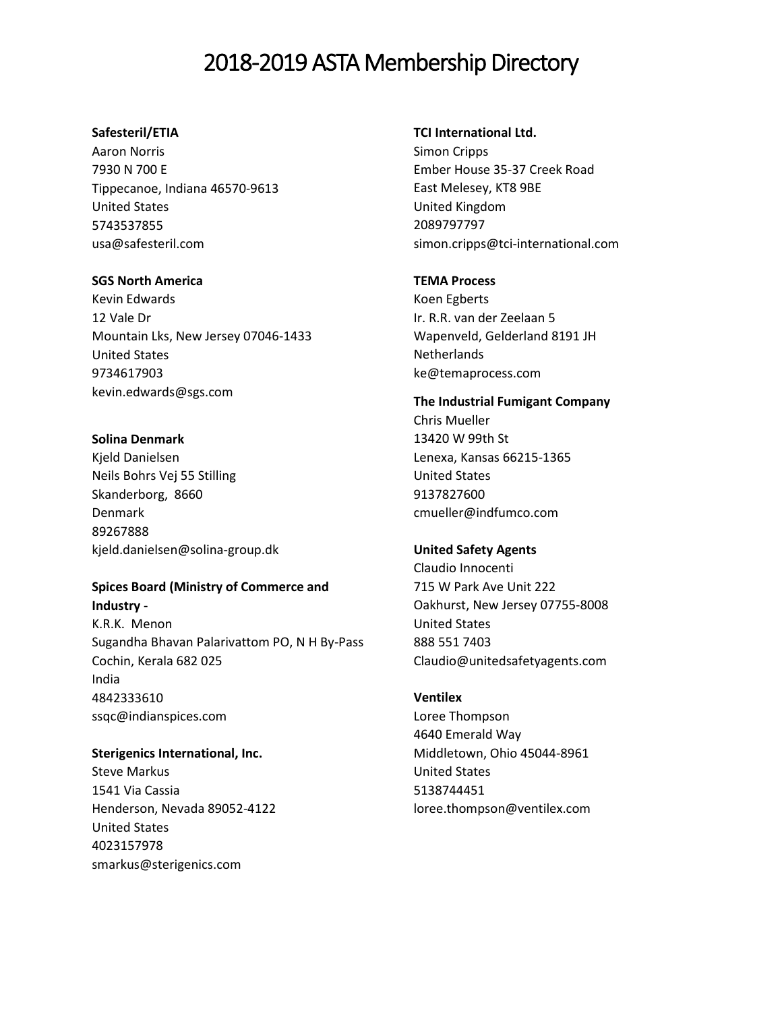## **Safesteril/ETIA**

Aaron Norris 7930 N 700 E Tippecanoe, Indiana 46570-9613 United States 5743537855 usa@safesteril.com

### **SGS North America**

Kevin Edwards 12 Vale Dr Mountain Lks, New Jersey 07046-1433 United States 9734617903 kevin.edwards@sgs.com

## **Solina Denmark**

Kjeld Danielsen Neils Bohrs Vej 55 Stilling Skanderborg, 8660 Denmark 89267888 kjeld.danielsen@solina-group.dk

### **Spices Board (Ministry of Commerce and Industry -**

K.R.K. Menon Sugandha Bhavan Palarivattom PO, N H By-Pass Cochin, Kerala 682 025 India 4842333610 ssqc@indianspices.com

**Sterigenics International, Inc.** Steve Markus 1541 Via Cassia Henderson, Nevada 89052-4122 United States 4023157978 smarkus@sterigenics.com

#### **TCI International Ltd.**

Simon Cripps Ember House 35-37 Creek Road East Melesey, KT8 9BE United Kingdom 2089797797 simon.cripps@tci-international.com

## **TEMA Process**

Koen Egberts Ir. R.R. van der Zeelaan 5 Wapenveld, Gelderland 8191 JH **Netherlands** ke@temaprocess.com

**The Industrial Fumigant Company** Chris Mueller 13420 W 99th St Lenexa, Kansas 66215-1365 United States 9137827600 cmueller@indfumco.com

## **United Safety Agents**

Claudio Innocenti [715 W Park Ave Unit 222](javascript:void(0);) [Oakhurst, New Jersey 07755-8008](javascript:void(0);) [United States](javascript:void(0);) 888 551 7403 Claudio@unitedsafetyagents.com

## **Ventilex**

Loree Thompson 4640 Emerald Way Middletown, Ohio 45044-8961 United States 5138744451 loree.thompson@ventilex.com